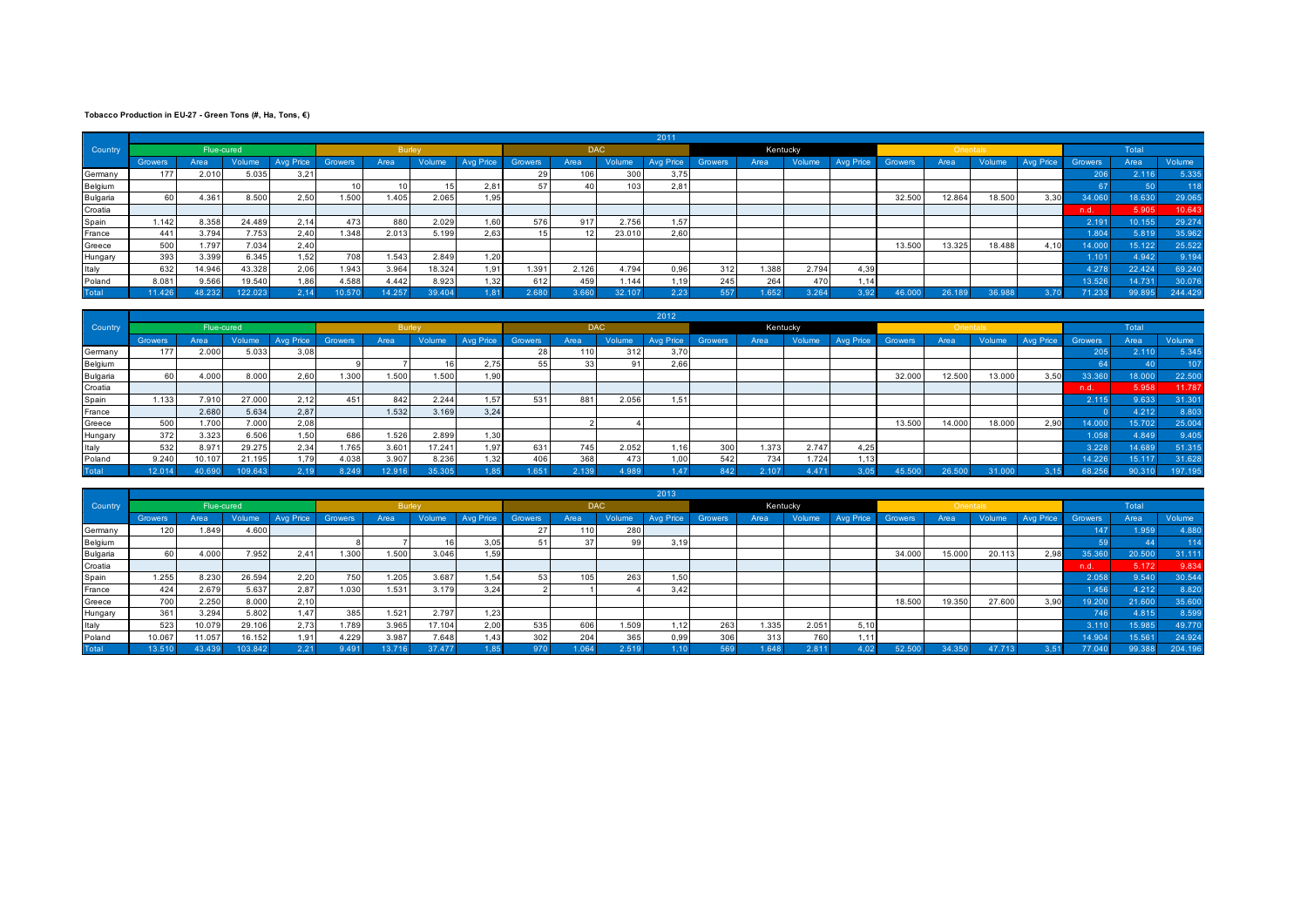## **Tobacco Production in EU-27 - Green Tons (#, Ha, Tons, €)**

|          |                |            |        |           |         |               |        |                  |                |            |        | 2011      |         |          |        |                  |         |           |        |                  |         |        |        |
|----------|----------------|------------|--------|-----------|---------|---------------|--------|------------------|----------------|------------|--------|-----------|---------|----------|--------|------------------|---------|-----------|--------|------------------|---------|--------|--------|
| Country  |                | Flue-cured |        |           |         | <b>Burley</b> |        |                  |                | <b>DAC</b> |        |           |         | Kentucky |        |                  |         | Orientals |        |                  |         | Total  |        |
|          | <b>Growers</b> | Area       | Volume | Avg Price | Growers | Area          | Volume | <b>Ava Price</b> | <b>Growers</b> | Area       | Volume | Avg Price | Growers | Area     | Volume | <b>Avg Price</b> | Growers | Area      | Volume | <b>Avg Price</b> | Growers | Area   | Volume |
| Germany  | 177            | 2.010      | 5.035  | 3,21      |         |               |        |                  | 29             | 106        | 300    | 3,75      |         |          |        |                  |         |           |        |                  | 206     | 2.116  | 5.33   |
| Belgium  |                |            |        |           |         |               |        | 2,81             | 57             |            | 103    | 2,81      |         |          |        |                  |         |           |        |                  |         |        |        |
| Bulgaria | 60             | 4.361      | 8.500  | 2.50      | 1.500   | 1.405         | 2.065  | 1,95             |                |            |        |           |         |          |        |                  | 32.500  | 12.864    | 18.500 | 3,30             |         | 18.630 | 29.06  |
| Croatia  |                |            |        |           |         |               |        |                  |                |            |        |           |         |          |        |                  |         |           |        |                  | n.d.    | 5.905  | 10.643 |
| Spain    | 1.142          | 8.358      | 24.489 | 2,14      | 473     | 880           | 2.029  | 1,60             | 576            | 917        | 2.756  | 1,57      |         |          |        |                  |         |           |        |                  | 2.191   | 10.155 | 29.27  |
| France   | 441            | 3.794      | 7.753  | 2,40      | 1.348   | 2.013         | 5.199  | 2,63             | 15             |            | 23.010 | 2,60      |         |          |        |                  |         |           |        |                  | 1.804   | 5.819  | 35.96  |
| Greece   | 500            | 1.797      | 7.034  | 2,40      |         |               |        |                  |                |            |        |           |         |          |        |                  | 13.500  | 13.325    | 18.488 | 4,10             | 14.000  | 15.122 | 25.52  |
| Hungary  | 393            | 3.399      | 6.345  | 1.52      | 708     | 1.543         | 2.849  | 1,20             |                |            |        |           |         |          |        |                  |         |           |        |                  | 1.101   | 4.942  | 9.19   |
| Italy    | 632            | 14.946     | 43.328 | 2,06      | 1.943   | 3.964         | 18.324 | 1.91             | 1.391          | 2.126      | 4.794  | 0,96      | 312     | 1.388    | 2.794  | 4,39             |         |           |        |                  | 4.278   | 22.424 | 69.24  |
| Poland   | 8.081          | 9.566      | 19.540 | 1,86      | 4.588   | 4.442         | 8.923  | 1,32             | 612            | 459        | 1.144  | 1,19      | 245     | 264      | 470    | 1,14             |         |           |        |                  | 13.526  | 14.731 | 30.07  |
| Total    | 1.426.         | 18.232     |        |           |         | 4.257         |        | 1.81             | 2.680          |            |        | 2.23      | 557     | .652.    | 3.264  | 3.92             |         | 26.189    |        |                  | 71.233  |        | 244.42 |

|          |                |            |         |           |       |               |        |           |         |            |        | 2012      |                |          |        |                  |         |           |        |                  |         |        |         |
|----------|----------------|------------|---------|-----------|-------|---------------|--------|-----------|---------|------------|--------|-----------|----------------|----------|--------|------------------|---------|-----------|--------|------------------|---------|--------|---------|
| Country  |                | Flue-cured |         |           |       | <b>Burley</b> |        |           |         | <b>DAC</b> |        |           |                | Kentucky |        |                  |         | Orientals |        |                  |         | Total  |         |
|          | <b>Growers</b> | Area       | Volume  | Avg Price |       | Area          | Volume | Avg Price | Growers | Area       | Volume | Avg Price | <b>Growers</b> | Area     | Volume | <b>Avg Price</b> | Growers | Area      | Volume | <b>Avg Price</b> | Growers | Area   | Volume  |
| Germany  | 177            | 2.000      | 5.033   | 3,08      |       |               |        |           | 28      | 110        | 312    | 3,70      |                |          |        |                  |         |           |        |                  | 205     | 2.110  | 5.345   |
| Belgium  |                |            |         |           |       |               |        | 2,75      | 55      |            |        | 2,66      |                |          |        |                  |         |           |        |                  |         |        | 107     |
| Bulgaria |                | 4.000      | 8.000   | 2,60      | 1.300 | 1.500         | 1.500  | 1,90      |         |            |        |           |                |          |        |                  | 32.000  | 12.500    | 13.000 | 3,50             | 33.360  | 18.000 | 22.500  |
| Croatia  |                |            |         |           |       |               |        |           |         |            |        |           |                |          |        |                  |         |           |        |                  | n.d.    | 5.958  | 11.787  |
| Spain    | 1.133          | 7.910      | 27.000  | 2,12      | 451   | 842           | 2.244  | 1,57      | 531     | 881        | 2.056  | 1.511     |                |          |        |                  |         |           |        |                  | 2.115   | 9.633  | 31.301  |
| France   |                | 2.680      | 5.634   | 2,87      |       | 1.532         | 3.169  | 3,24      |         |            |        |           |                |          |        |                  |         |           |        |                  |         | 4.212  | 8.803   |
| Greece   | 500            | 1.700      | 7.000   | 2,08      |       |               |        |           |         |            |        |           |                |          |        |                  | 13.500  | 14.000    | 18.000 | 2,90             | 14.000  | 15.702 | 25.004  |
| Hungary  | 372            | 3.323      | 6.506   | 1.50      | 686   | 1.526         | 2.899  | 1,30      |         |            |        |           |                |          |        |                  |         |           |        |                  | 1.058   | 4.849  | 9.405   |
| Italy    | 532            | 8.971      | 29.275  | 2,34      | 1.765 | 3.601         | 17.241 | 1,97      | 631     | 745        | 2.052  |           | 300            | 1.373    | 2.747  | 4,25             |         |           |        |                  | 3.228   | 14.689 | 51.315  |
| Poland   | 9.240          | 10.107     | 21.195  | 1.79      | 4.038 | 3.907         | 8.236  | 1,32      | 406     | 368        | 473    | 1.00      | 542            | 734      | 1.724  | .13              |         |           |        |                  | 14.226  | 15.117 | 31.628  |
| Total    | 12.014         | 40.690     | 100.613 |           | R24Q  | 12.916        | 35.305 | .85       | .651    | 2.130      | 4.989  | .47       |                | 2.107    | 4.471  | 3,05             | 45.500  |           |        |                  | 68.256  | 90.31  | 197.195 |

|          |                |            |        |           |                |        |        |      |     |            |        | 2013      |         |          |        |                  |         |           |        |                  |         |        |         |
|----------|----------------|------------|--------|-----------|----------------|--------|--------|------|-----|------------|--------|-----------|---------|----------|--------|------------------|---------|-----------|--------|------------------|---------|--------|---------|
| Country  |                | Flue-cured |        |           |                | Burley |        |      |     | <b>DAC</b> |        |           |         | Kentucky |        |                  |         | Orientals |        |                  |         | Total  |         |
|          | <b>Growers</b> | Area       | Volume | Avg Price | <b>Growers</b> | Area   | Volume |      |     | Area       | Volume | Avg Price | Growers | Area     | Volume | <b>Ava Price</b> | Growers | Area      | Volume | <b>Avg Price</b> | Growers | Area   | Volume  |
| Germany  | 120            | 1.849      | 4.600  |           |                |        |        |      | 27  | 110        | 280    |           |         |          |        |                  |         |           |        |                  | 147     | 1.959  | 4.88    |
| Belgium  |                |            |        |           |                |        |        | 3,05 |     |            | -99    | 3,19      |         |          |        |                  |         |           |        |                  |         |        |         |
| Bulgaria | 60             | 4.000      | 7.952  | 2.41      | 1.300          | 1.500  | 3.046  | 1,59 |     |            |        |           |         |          |        |                  | 34.000  | 15.000    | 20.113 | 2,98             | 35.360  | 20.500 | 31.11'  |
| Croatia  |                |            |        |           |                |        |        |      |     |            |        |           |         |          |        |                  |         |           |        |                  | n.d.    | 5.172  | 9.834   |
| Spain    | 1.255          | 8.230      | 26.594 | 2,20      | 750            | 1.205  | 3.687  | 1,54 | 53  | 105        | 263    | 1,50      |         |          |        |                  |         |           |        |                  | 2.058   | 9.540  | 30.54   |
| France   | 424            | 2.679      | 5.637  | 2,87      | 1.030          | .531   | 3.179  | 3,24 |     |            |        | 3,42      |         |          |        |                  |         |           |        |                  | 1.456   | 4.212  | 8.82    |
| Greece   | 700            | 2.250      | 8.000  | 2,10      |                |        |        |      |     |            |        |           |         |          |        |                  | 18.500  | 19.350    | 27.600 | 3,90             | 19.200  | 21.600 | 35.60   |
| Hungary  | 361            | 3.294      | 5.802  | 1,47      | 385            | 1.521  | 2.797  | 1,23 |     |            |        |           |         |          |        |                  |         |           |        |                  | 746     | 4.815  | 8.599   |
| Italy    | 523            | 10.079     | 29.106 | 2.73      | 1.789          | 3.965  | 17.104 | 2,00 | 535 | 606        | 1.509  | .12       | 263     | 1.335    | 2.051  | 5,10             |         |           |        |                  | 3.110   | 15.985 | 49.77   |
| Poland   | 10.067         | 11.057     | 16.152 | 1.91      | 4.229          | 3.987  | 7.648  | 1,43 | 302 | 204        | 365    | 0,99      | 306     | 313      | 760    | 1,111            |         |           |        |                  | 14.904  | 15.561 | 24.92   |
| Total    | 13.51          | 13 4 3 9   |        | 2.21      | 9.491          |        | 37.477 | 185  | 970 | 1.064      | 2.519  |           | 569     | .648     | 2.811  | 1.02             | 52.500  | 34.350    |        |                  | 77.040  | 99.388 | 204.196 |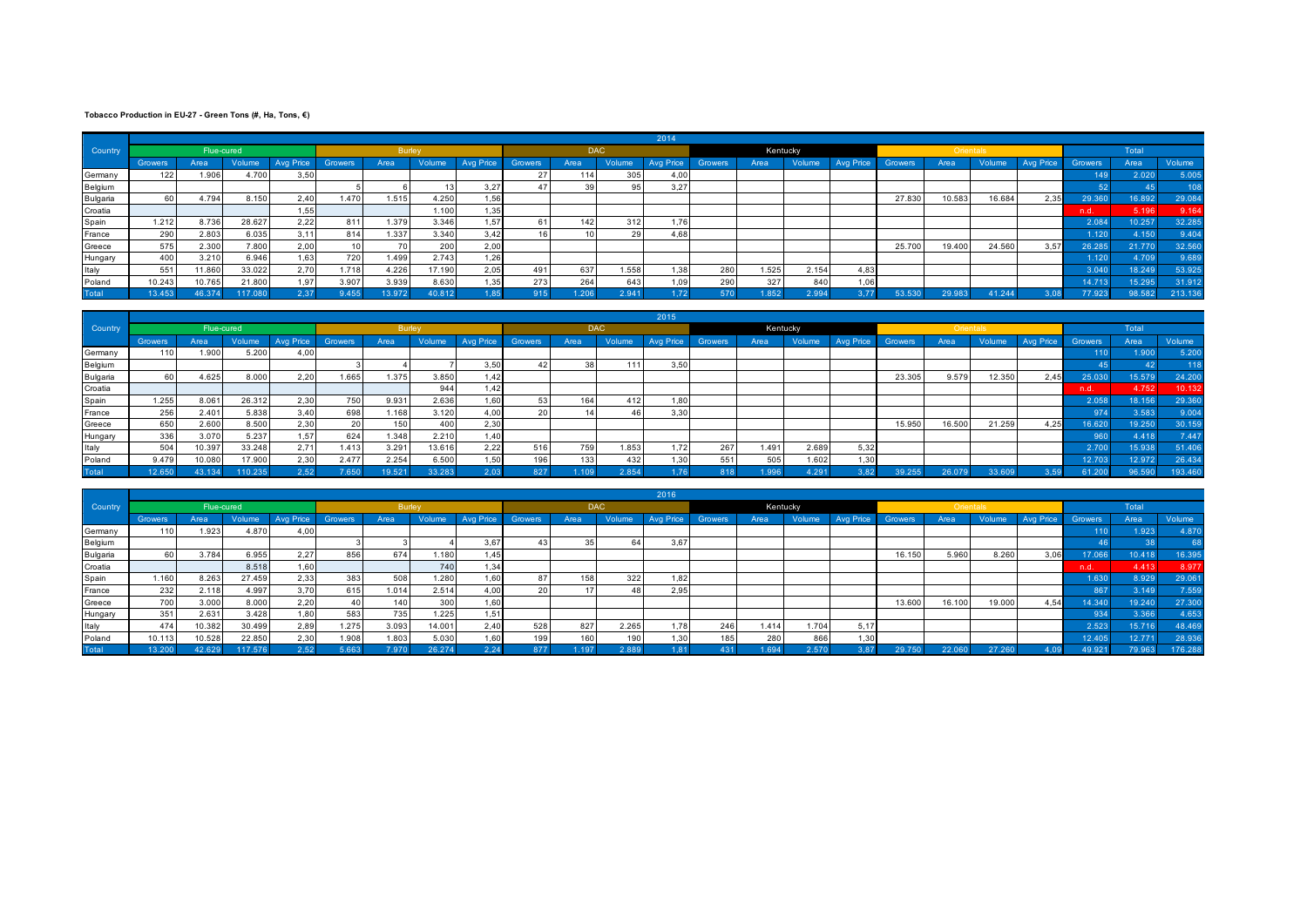## **Tobacco Production in EU-27 - Green Tons (#, Ha, Tons, €)**

|          |                |            |        |           |       |             |        |      |     |            |        | 2014      |         |       |          |      |        |           |        |           |         |        |        |
|----------|----------------|------------|--------|-----------|-------|-------------|--------|------|-----|------------|--------|-----------|---------|-------|----------|------|--------|-----------|--------|-----------|---------|--------|--------|
| Country  |                | Flue-cured |        |           |       | Burley      |        |      |     | <b>DAC</b> |        |           |         |       | Kentucky |      |        | Orientals |        |           |         | Total  |        |
|          | <b>Growers</b> | Area       | Volume | Avg Price |       | Area        |        |      |     | Area       | Volume | Avg Price | Growers | Area  | Volume   |      |        | Area      | Volume | Avg Price | Growers | Area   | Volume |
| Germany  | 122            | 1.906      | 4.700  | 3,50      |       |             |        |      | 27  | 114        | 305    | 4,00      |         |       |          |      |        |           |        |           | 149     | 2.020  | 5.00   |
| Belgium  |                |            |        |           |       |             |        | 3,27 | 47  |            |        | 3,27      |         |       |          |      |        |           |        |           |         |        |        |
| Bulgaria | 60             | 4.794      | 8.150  | 2,40      | 1.470 | 1.515       | 4.250  | 1,56 |     |            |        |           |         |       |          |      | 27.830 | 10.583    | 16.684 | 2,35      | 29.360  | 16.892 | 29.08  |
| Croatia  |                |            |        | 1,55      |       |             | 1.100  | 1,35 |     |            |        |           |         |       |          |      |        |           |        |           | n.d.    | 5.196  | 9.164  |
| Spain    | 1.212          | 8.736      | 28.627 | 2,22      | 811   | 1.379       | 3.346  | 1,57 | 61  | 142        | 312    | 1.76      |         |       |          |      |        |           |        |           | 2.084   | 10.257 | 32.28  |
| France   | 290            | 2.803      | 6.035  | 3,11      | 814   | .337        | 3.340  | 3,42 | 16  |            |        | 4,68      |         |       |          |      |        |           |        |           | 1.120   | 4.150  | 9.40   |
| Greece   | 575            | 2.300      | 7.800  | 2,00      |       |             | 200    | 2,00 |     |            |        |           |         |       |          |      | 25.700 | 19.400    | 24.560 | 3,57      | 26.285  | 21.770 | 32.56  |
| Hungary  | 400            | 3.210      | 6.946  | 1,63      | 720   | <b>.499</b> | 2.743  | 1,26 |     |            |        |           |         |       |          |      |        |           |        |           | 1.120   | 4.709  | 9.68   |
| Italy    | 551            | 1.860      | 33.022 | 2,70      | 1.718 | 4.226       | 17.190 | 2,05 | 491 | 637        | 1.558  | .38       | 280     | 1.525 | 2.154    | 4,83 |        |           |        |           | 3.040   | 18.249 | 53.92  |
| Poland   | 10.243         | 10.765     | 21.800 | 1,97      | 3.907 | 3.939       | 8.630  | 1,35 | 273 | 264        | 643    | 1,09      | 290     | 327   | 840      | 1,06 |        |           |        |           | 14.713  | 15.295 | 31.912 |
| Total    | 3.453          | 46.374     |        | 2.37      | 455   | 13.972      | 40.812 | 1.85 | 915 | 1.206      | 2.941  |           | 570     | 1.852 | 2.994    | 3.77 | 53.530 | 29.983    | 11.24  |           | 77.923  | 98.582 | 213.13 |

|          |                |            |        |      |       |                 |               |           |                |            |        | 2015             |         |       |          |      |         |           |        |           |        |        |         |
|----------|----------------|------------|--------|------|-------|-----------------|---------------|-----------|----------------|------------|--------|------------------|---------|-------|----------|------|---------|-----------|--------|-----------|--------|--------|---------|
| Country  |                | Flue-cured |        |      |       |                 | <b>Burley</b> |           |                | <b>DAC</b> |        |                  |         |       | Kentucky |      |         | Orientals |        |           |        | Total  |         |
|          | <b>Growers</b> | Area       | Volume |      |       | Area            | Volume        | Avg Price | <b>Growers</b> | Area       | Volume | <b>Avg Price</b> | Growers | Area  | Volume   |      | Growers | Area      | Volume | Avg Price |        | Area   | Volume  |
| Germany  | 110            | 1.900      | 5.200  | 4,00 |       |                 |               |           |                |            |        |                  |         |       |          |      |         |           |        |           | 110    | 1.900. | 5.200   |
| Belgium  |                |            |        |      |       |                 |               | 3,50      | 42             |            | 111    | 3.50             |         |       |          |      |         |           |        |           |        |        |         |
| Bulgaria |                | 4.625      | 8.000  | 2,20 | 1.665 | 1.375           | 3.850         | 1,42      |                |            |        |                  |         |       |          |      | 23.305  | 9.579     | 12.350 | 2,45      | 25.030 | 15.579 | 24.200  |
| Croatia  |                |            |        |      |       |                 | 944           | 1,42      |                |            |        |                  |         |       |          |      |         |           |        |           | n.d.   | 4.752  | 10.132  |
| Spain    | 1.255          | 8.061      | 26.312 | 2,30 | 750   | 9.931           | 2.636         | 1,60      | 53             | 164        | 412    | 1.80             |         |       |          |      |         |           |        |           | 2.058  | 18.156 | 29.360  |
| France   | 256            | 2.401      | 5.838  | 3,40 | 698   | 1.168           | 3.120         | 4,00      | 20             |            |        | 3,30             |         |       |          |      |         |           |        |           | 974    | 3.583  | 9.004   |
| Greece   | 650            | 2.600      | 8.500  | 2,30 | 20    | 150             | 400           | 2,30      |                |            |        |                  |         |       |          |      | 15.950  | 16.500    | 21.259 | 4,25      | 16.620 | 19.250 | 30.159  |
| Hungary  | 336            | 3.070      | 5.237  | 1,57 | 624   | 1.348           | 2.210         | 1,40      |                |            |        |                  |         |       |          |      |         |           |        |           | 960    | 4.418  | 7.447   |
| Italy    | 504            | 10.397     | 33.248 | 2,71 | 1.413 | 3.291           | 13.616        | 2,22      | 516            | 759        | 1.853  | 1.72             | 267     | 1.491 | 2.689    | 5,32 |         |           |        |           | 2.700  | 15.938 | 51.406  |
| Poland   | 9.479          | 10.080     | 17.900 | 2,30 | 2.477 | 2.254           | 6.500         | 1,50      | 196            | 133        | 432    | 1.30             | 551     | 505   | 1.602    | 1,30 |         |           |        |           | 12.703 | 12.972 | 26.434  |
| Total    | 12.650         | 43, 134    |        |      |       | $19.52^{\circ}$ | 33.283        | 2.03      | 827            |            | 2.854  |                  |         |       | 1.291    | 3,82 | 39.255  |           |        |           |        | 98.59  | 193.460 |

|                |                |            |        |          |       |               |        |           |         |            |        | 2016             |         |       |          |                  |         |           |        |                  |                    |          |        |
|----------------|----------------|------------|--------|----------|-------|---------------|--------|-----------|---------|------------|--------|------------------|---------|-------|----------|------------------|---------|-----------|--------|------------------|--------------------|----------|--------|
| <b>Country</b> |                | Flue-cured |        |          |       | <b>Burley</b> |        |           |         | <b>DAC</b> |        |                  |         |       | Kentucky |                  |         | Orientals |        |                  |                    | Total    |        |
|                | <b>Growers</b> | Area       | Volume | vg Price |       | Area          | Volume | Avg Price | Growers | Area       | Volume | <b>Avg Price</b> | Growers | Area  | Volume   | <b>Avg Price</b> | Growers | Area      | Volume | <b>Avg Price</b> | Growers            | Area     | Volume |
| Germany        | 110            | 1.923      | 4.870  | 4,00     |       |               |        |           |         |            |        |                  |         |       |          |                  |         |           |        |                  | 110                | 1.923    | 4.870  |
| Belgium        |                |            |        |          |       |               |        | 3,67      |         |            |        | 3,67             |         |       |          |                  |         |           |        |                  |                    |          |        |
| Bulgaria       | 60             | 3.784      | 6.955  | 2,27     | 856   | 674           | 1.180  | 1,45      |         |            |        |                  |         |       |          |                  | 16.150  | 5.960     | 8.260  |                  |                    | 10.418   | 16.39  |
| Croatia        |                |            | 8.518  | 1,60     |       |               | 740    | 1,34      |         |            |        |                  |         |       |          |                  |         |           |        |                  | n.d.               | 4.413    | 8.977  |
| Spain          | 1.160          | 8.263      | 27.459 | 2,33     | 383   | 508           | 1.280  | 1,60      |         | 158        | 322    | 1,82             |         |       |          |                  |         |           |        |                  | 1.630              | 8.929    | 29.06  |
| France         | 232            | 2.118      | 4.997  | 3,70     | 615   | 1.014         | 2.514  | 4,00      | 20      |            |        | 2,95             |         |       |          |                  |         |           |        |                  | 867                | $-2,149$ | 7.559  |
| Greece         | 700            | 3.000      | 8.000  | 2,20     | 40 I  | 140           | 300    | 1,60      |         |            |        |                  |         |       |          |                  | 13.600  | 16.100    | 19.000 | 4,54             | 14.340             | 19.240   | 27.30  |
| Hungary        | 351            | 2.631      | 3.428  | .80      | 583   | 735           | 1.225  | 1,51      |         |            |        |                  |         |       |          |                  |         |           |        |                  | 934                | 3.366    | 4.65   |
| Italy          | 474            | 10.382     | 30.499 | 2,89     | 1.275 | 3.093         | 14.001 | 2,40      | 528     | 827        | 2.265  | 1.78             | 246     | 1.414 | 1.704    | 5,17             |         |           |        |                  | 2.523              | 15.716   | 48.46  |
| Poland         | 10.113         | 10.528     | 22.850 | 2,30     | 1.908 | 1.803         | 5.030  | 1,60      | 199     | 160        | 190    | 1.30             | 1851    | 280   | 866      | 1,30             |         |           |        |                  | 12.405             | 12.771   | 28.93  |
| <b>Total</b>   | 3.201          | 42.629     |        |          |       |               | 26.274 | 2.24      | 877     |            |        |                  |         |       |          | 3.87             |         |           |        |                  | 19.92 <sup>-</sup> | 79.963   | 176.28 |